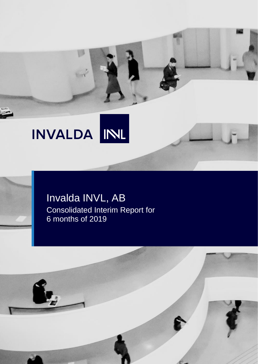# INVALDA INL

# Invalda INVL, AB Consolidated Interim Report for 6 months of 2019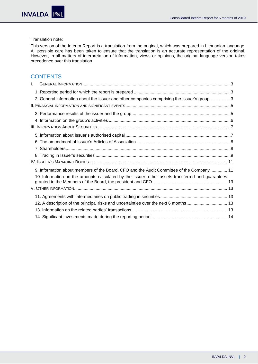## Translation note:

This version of the Interim Report is a translation from the original, which was prepared in Lithuanian language. All possible care has been taken to ensure that the translation is an accurate representation of the original. However, in all matters of interpretation of information, views or opinions, the original language version takes precedence over this translation.

# **CONTENTS**

| $\mathbf{L}$ |                                                                                                  |  |
|--------------|--------------------------------------------------------------------------------------------------|--|
|              |                                                                                                  |  |
|              | 2. General information about the Issuer and other companies comprising the Issuer's group 3      |  |
|              |                                                                                                  |  |
|              |                                                                                                  |  |
|              |                                                                                                  |  |
|              |                                                                                                  |  |
|              |                                                                                                  |  |
|              |                                                                                                  |  |
|              |                                                                                                  |  |
|              |                                                                                                  |  |
|              |                                                                                                  |  |
|              | 9. Information about members of the Board, CFO and the Audit Committee of the Company  11        |  |
|              | 10. Information on the amounts calculated by the Issuer. other assets transferred and guarantees |  |
|              |                                                                                                  |  |
|              |                                                                                                  |  |
|              |                                                                                                  |  |
|              | 12. A description of the principal risks and uncertainties over the next 6 months 13             |  |
|              |                                                                                                  |  |
|              |                                                                                                  |  |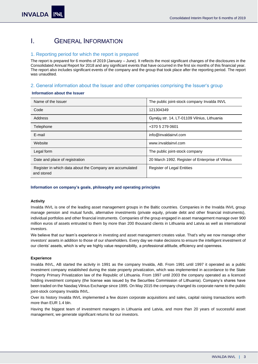# <span id="page-2-0"></span>I. GENERAL INFORMATION

# <span id="page-2-1"></span>1. Reporting period for which the report is prepared

The report is prepared for 6 months of 2019 (January – June). It reflects the most significant changes of the disclosures in the Consolidated Annual Report for 2018 and any significant events that have occurred in the first six months of this financial year. The report also includes significant events of the company and the group that took place after the reporting period. The report was unaudited.

# <span id="page-2-2"></span>2. General information about the Issuer and other companies comprising the Issuer's group

# **Information about the Issuer**

| Name of the Issuer                                                     | The public joint-stock company Invalda INVL      |
|------------------------------------------------------------------------|--------------------------------------------------|
| Code                                                                   | 121304349                                        |
| Address                                                                | Gynėjų str. 14, LT-01109 Vilnius, Lithuania      |
| Telephone                                                              | +370 5 279 0601                                  |
| E-mail                                                                 | info@invaldainvl.com                             |
| Website                                                                | www.invaldainvl.com                              |
| Legal form                                                             | The public joint-stock company                   |
| Date and place of registration                                         | 20 March 1992. Register of Enterprise of Vilnius |
| Register in which data about the Company are accumulated<br>and stored | Register of Legal Entities                       |

#### **Information on company's goals, philosophy and operating principles**

#### **Activity**

Invalda INVL is one of the leading asset management groups in the Baltic countries. Companies in the Invalda INVL group manage pension and mutual funds, alternative investments (private equity, private debt and other financial instruments), individual portfolios and other financial instruments. Companies of the group engaged in asset management manage over 900 million euros of assets entrusted to them by more than 200 thousand clients in Lithuania and Latvia as well as international investors.

We believe that our team's experience in investing and asset management creates value. That's why we now manage other investors' assets in addition to those of our shareholders. Every day we make decisions to ensure the intelligent investment of our clients' assets, which is why we highly value responsibility, a professional attitude, efficiency and openness.

#### **Experience**

Invalda INVL, AB started the activity in 1991 as the company Invalda, AB. From 1991 until 1997 it operated as a public investment company established during the state property privatization, which was implemented in accordance to the State Property Primary Privatization law of the Republic of Lithuania. From 1997 until 2003 the company operated as a licenced holding investment company (the license was issued by the Securities Commission of Lithuania). Company's shares have been traded on the Nasdaq Vilnius Exchange since 1995. On May 2015 the company changed its corporate name to the public joint-stock company Invalda INVL.

Over its history Invalda INVL implemented a few dozen corporate acquisitions and sales, capital raising transactions worth more than EUR 1.4 bln.

Having the biggest team of investment managers in Lithuania and Latvia, and more than 20 years of successful asset management, we generate significant returns for our investors.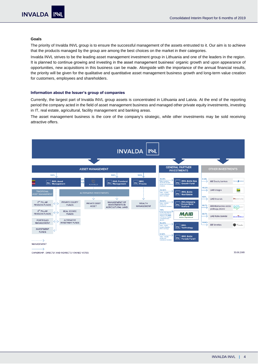### **Goals**

The priority of Invalda INVL group is to ensure the successful management of the assets entrusted to it. Our aim is to achieve that the products managed by the group are among the best choices on the market in their categories.

Invalda INVL strives to be the leading asset management investment group in Lithuania and one of the leaders in the region. It is planned to continue growing and investing in the asset management business' organic growth and upon appearance of opportunities, new acquisitions in this business can be made. Alongside with the importance of the annual financial results, the priority will be given for the qualitative and quantitative asset management business growth and long-term value creation for customers, employees and shareholders.

#### **Information about the Issuer's group of companies**

Currently, the largest part of Invalda INVL group assets is concentrated in Lithuania and Latvia. At the end of the reporting period the company acted in the field of asset management business and managed other private equity investments, investing in IT, real estate, agricultural, facility management and banking areas.

The asset management business is the core of the company's strategic, while other investments may be sold receiving attractive offers.



OWNERSHIP. DIRECTLY AND INDIRECTLY OWNED VOTES

30.06.2019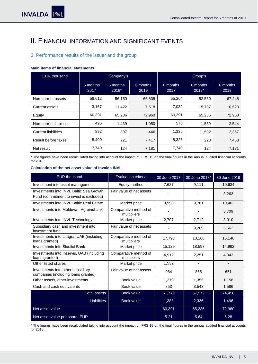# <span id="page-4-0"></span>II. FINANCIAL INFORMATION AND SIGNIFICANT EVENTS

# <span id="page-4-1"></span>3. Performance results of the issuer and the group

## **Main items of financial statements**

| <b>EUR</b> thousand        | Company's        |                   | Group's          |                  |                   |                  |
|----------------------------|------------------|-------------------|------------------|------------------|-------------------|------------------|
|                            | 6 months<br>2017 | 6 months<br>2018* | 6 months<br>2019 | 6 months<br>2017 | 6 months<br>2018* | 6 months<br>2019 |
| Non-current assets         | 58,612           | 56,150            | 66,838           | 55,264           | 52,580            | 67,248           |
| Current assets             | 3,167            | 11,422            | 7,618            | 7,039            | 15,787            | 10,623           |
| Equity                     | 60,391           | 65,236            | 72,960           | 60,391           | 65,236            | 72,960           |
| Non-current liabilities    | 496              | 1,439             | 1,050            | 576              | 1,539             | 2,544            |
| <b>Current liabilities</b> | 892              | 897               | 446              | 1,336            | 1,592             | 2,367            |
| Result before taxes        | 8,400            | 221               | 7,417            | 8,326            | 223               | 7,458            |
| Net result                 | 7,740            | 124               | 7,181            | 7,740            | 124               | 7,181            |

\* The figures have been recalculated taking into account the impact of IFRS 15 on the final figures in the annual audited financial accounts for 2018

# **Calculation of the net asset value of Invalda INVL**

| <b>EUR</b> thousand                                                                | Evaluation criteria                  | 30 June 2017 | 30 June 2018* | 30 June 2019 |
|------------------------------------------------------------------------------------|--------------------------------------|--------------|---------------|--------------|
| Investment into asset management                                                   | Equity method                        | 7,627        | 9,111         | 10,634       |
| Investments into INVL Baltic Sea Growth<br>Fund (commitment to invest is excluded) | Fair value of net assets             |              |               | 3,263        |
| Investments into INVL Baltic Real Estate                                           | Market price                         | 8,958        | 9,761         | 10,402       |
| Investments into Moldova - Agroindbank                                             | Comparative method of<br>multipliers |              |               | 3,709        |
| Investments into INVL Technology                                                   | Market price                         | 2,707        | 2,712         | 3,010        |
| Subsidiary cash and investment into<br>investment fund                             | Fair value of net assets             |              | 9,209         | 5,562        |
| Investments into Litagra, UAB (including<br>loans granted)                         | Comparative method of<br>multipliers | 17,798       | 10,168        | 15,146       |
| Investments into Šiauliai Bank                                                     | Market price                         | 15,129       | 18,597        | 14,992       |
| Investments into Inservis, UAB (including<br>loans granted)                        | Comparative method of<br>multipliers | 4,912        | 2,251         | 4,343        |
| Other listed shares                                                                | Market price                         | 1,532        | ۰             |              |
| Investments into other subsidiary<br>companies (including loans granted)           | Fair value of net assets             | 984          | 865           | 651          |
| Other assets, other investments                                                    | Book value                           | 1,279        | 1,355         | 1,158        |
| Cash and cash equivalents                                                          | Book value                           | 853          | 3,543         | 1,586        |
| <b>Total assets</b>                                                                | Book value                           | 61,779       | 67,572        | 74,456       |
| <b>Liabilities</b>                                                                 | Book value                           | 1,388        | 2,336         | 1,496        |
| Net asset value                                                                    |                                      | 60,391       | 65,236        | 72,960       |
| Net asset value per share, EUR                                                     |                                      | 5.21         | 5.64          | 6.28         |

\* The figures have been recalculated taking into account the impact of IFRS 15 on the final figures in the annual audited financial accounts for 2018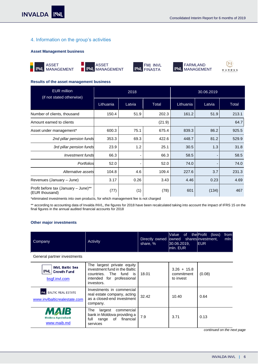# <span id="page-5-0"></span>4. Information on the group's activities

## **Asset Management business**











 $\mathbb{N}$ MUNDUS

j

#### **Results of the asset management business**

| <b>EUR</b> million<br>(if not stated otherwise)        |           | 2018           |       |           | 30.06.2019 |       |  |
|--------------------------------------------------------|-----------|----------------|-------|-----------|------------|-------|--|
|                                                        | Lithuania | Latvia         | Total | Lithuania | Latvia     | Total |  |
| Number of clients, thousand                            | 150.4     | 51.9           | 202.3 | 161.2     | 51.9       | 213.1 |  |
| Amount earned to clients                               | (21.9)    |                |       | 64.7      |            |       |  |
| Asset under management*                                | 600.3     | 75.1           | 675.4 | 839.3     | 86.2       | 925.5 |  |
| 2nd pillar pension funds                               | 353.3     | 69.3           | 422.6 | 448.7     | 81.2       | 529.9 |  |
| 3rd pillar pension funds                               | 23.9      | 1.2            | 25.1  | 30.5      | 1.3        | 31.8  |  |
| Investment funds                                       | 66.3      | $\overline{a}$ | 66.3  | 58.5      |            | 58.5  |  |
| Portfolios                                             | 52.0      | $\overline{a}$ | 52.0  | 74.0      |            | 74.0  |  |
| Alternative assets                                     | 104.8     | 4.6            | 109.4 | 227.6     | 3.7        | 231.3 |  |
| Revenues (January - June)                              | 3.17      | 0.26           | 3.43  | 4.46      | 0.23       | 4.69  |  |
| Profit before tax (January - June)**<br>(EUR thousand) | (77)      | (1)            | (78)  | 601       | (134)      | 467   |  |

\*eliminated investments into own products, for which management fee is not charged

\*\* according to accounting data of Invalda INVL, the figures for 2018 have been recalculated taking into account the impact of IFRS 15 on the final figures in the annual audited financial accounts for 2018

# **Other major investments**

| Company                                                             | Activity                                                                                                                         | Directly owned owned<br>share, % | Value<br>0f<br>30.06.2019,<br>mln. EUR   | the Profit<br>(loss)<br>from<br>shares investment,<br>mln.<br><b>EUR</b> |
|---------------------------------------------------------------------|----------------------------------------------------------------------------------------------------------------------------------|----------------------------------|------------------------------------------|--------------------------------------------------------------------------|
| General partner investments                                         |                                                                                                                                  |                                  |                                          |                                                                          |
| <b>INVL Baltic Sea</b><br>IN<br><b>Growth Fund</b><br>bsgf.invl.com | The largest private equity<br>investment fund in the Baltic<br>countries. The fund is<br>intended for professional<br>investors. | 18.01                            | $3.26 + 15.8$<br>commitment<br>to invest | (0.08)                                                                   |
| INL BALTIC REAL ESTATE<br>www.invlbalticrealestate.com              | Investments in commercial<br>real estate company, acting<br>as a closed-end investment<br>company.                               | 32.42                            | 10.40                                    | 0.64                                                                     |
| 73<br><b>Moldova Agroindbank</b><br>www.maib.md                     | largest<br>commercial<br>The<br>bank in Moldova providing a<br>financial<br>of<br>full<br>range<br>services                      | 7.9                              | 3.71                                     | 0.13                                                                     |

*continued on the next page*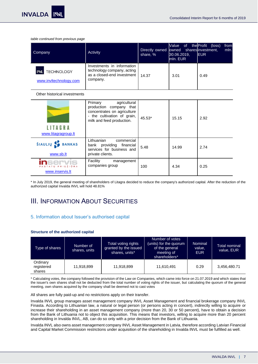**INVALDA** 

*table continued from previous page*

| Company                                           | Activity                                                                                           | share, % | <b>Nalue</b><br>Directly owned lowned shareslinvestment,<br>30.06.2019,<br>lmln. EUR | of the Profit (loss)<br><b>IEUR</b> | from<br>mln. |
|---------------------------------------------------|----------------------------------------------------------------------------------------------------|----------|--------------------------------------------------------------------------------------|-------------------------------------|--------------|
| <b>TECHNOLOGY</b><br>IN<br>www.invltechnology.com | Investments in information<br>technology company, acting<br>as a closed-end investment<br>company. | 14.37    | 3.01                                                                                 | 0.49                                |              |

#### Other historical investments

| <b>ITAGRA</b><br>www.litagragroup.lt           | Primary<br>agricultural<br>production company that<br>concentrates on agriculture<br>- the cultivation of grain,<br>milk and feed production. | $45.53*$ | 15.15 | 2.92 |
|------------------------------------------------|-----------------------------------------------------------------------------------------------------------------------------------------------|----------|-------|------|
| ŠIAULIŲ S BANKAS<br>www.sb.lt                  | Lithuanian<br>commercial<br>bank providing financial<br>services for business and<br>private clients.                                         | 5.48     | 14.99 | 2.74 |
| servis<br>PASTATU PRIEŽIŪRA<br>www.inservis.lt | Facility<br>management<br>companies group                                                                                                     | 100      | 4.34  | 0.25 |

\* In July 2019, the general meeting of shareholders of Litagra decided to reduce the company's authorized capital. After the reduction of the authorized capital Invalda INVL will hold 48.81%

# <span id="page-6-0"></span>III. INFORMATION ABOUT SECURITIES

# <span id="page-6-1"></span>5. Information about Issuer's authorised capital

#### **Structure of the authorized capital**

| Type of shares                   | Number of<br>shares, units | Total voting rights<br>granted by the issued<br>shares, units* | Number of votes<br>(units) for the quorum<br>of the general<br>meeting of<br>shareholders* | Nominal<br>value,<br><b>EUR</b> | Total nominal<br>value, EUR |
|----------------------------------|----------------------------|----------------------------------------------------------------|--------------------------------------------------------------------------------------------|---------------------------------|-----------------------------|
| Ordinary<br>registered<br>shares | 11,918,899                 | 11,918,899                                                     | 11,610,491                                                                                 | 0.29                            | 3,456,480.71                |

\* Calculating votes, the company followed the provision of the Law on Companies, which came into force on 21.07.2019 and which states that the issuer's own shares shall not be deducted from the total number of voting rights of the issuer, but calculating the quorum of the general meeting, own shares acquired by the company shall be deemed not to cast votes

All shares are fully paid-up and no restrictions apply on their transfer.

Invalda INVL group manages asset management company INVL Asset Management and financial brokerage company INVL Finasta. According to Lithuanian law, a natural or legal person (or persons acting in concert), indirectly willing to acquire or increase their shareholding in an asset management company (more than 20, 30 or 50 percent), have to obtain a decision from the Bank of Lithuania not to object this acquisition. This means that investors, willing to acquire more than 20 percent shareholding in Invalda INVL, AB, can do so only with a prior decision from the Bank of Lithuania.

Invalda INVL also owns asset management company INVL Asset Management in Latvia, therefore according Latvian Financial and Capital Market Commission restrictions under acquisition of the shareholding in Invalda INVL must be fulfilled as well.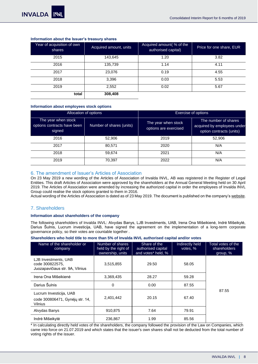| Year of acquisition of own<br>shares | Acquired amount, units | Acquired amount (% of the<br>authorised capital) | Price for one share, EUR |
|--------------------------------------|------------------------|--------------------------------------------------|--------------------------|
| 2015                                 | 143,645                | 1.20                                             | 3.82                     |
| 2016                                 | 135,739                | 1.14                                             | 4.11                     |
| 2017                                 | 23,076                 | 0.19                                             | 4.55                     |
| 2018                                 | 3,396                  | 0.03                                             | 5.53                     |
| 2019                                 | 2,552                  | 0.02                                             | 5.67                     |
| total                                | 308,408                |                                                  |                          |

#### **Information about the Issuer's treasury shares**

# **Information about employees stock options**

| Allocation of options                                        |                          | <b>Exercise of options</b>                   |                                                                                 |  |
|--------------------------------------------------------------|--------------------------|----------------------------------------------|---------------------------------------------------------------------------------|--|
| The year when stock<br>options contracts have been<br>signed | Number of shares (units) | The year when stock<br>options are exercised | The number of shares<br>acquired by employees under<br>option contracts (units) |  |
| 2016                                                         | 52,906                   | 2019                                         | 52,906                                                                          |  |
| 2017                                                         | 80.571                   | 2020                                         | N/A                                                                             |  |
| 2018                                                         | 59,674                   | 2021                                         | N/A                                                                             |  |
| 2019                                                         | 70,397                   | 2022                                         | N/A                                                                             |  |

# <span id="page-7-0"></span>6. The amendment of Issuer's Articles of Association

On 23 May 2019 a new wording of the Articles of Association of Invalda INVL, AB was registered in the Register of Legal Entities. This draft Articles of Association were approved by the shareholders at the Annual General Meeting held on 30 April 2019. The Articles of Association were amended by increasing the authorized capital in order the employees of Invalda INVL Group could realise the stock options granted to them in 2016.

Actual wording of the Articles of Association is dated as of 23 May 2019. The document is published on the company'[s website.](https://www.invaldainvl.com/lit/en/investor-relations/articles-of-association)

# <span id="page-7-1"></span>7. Shareholders

#### **Information about shareholders of the company**

The following shareholders of Invalda INVL: Alvydas Banys, LJB Investments, UAB, Irena Ona Mišeikienė, Indrė Mišeikytė, Darius Šulnis, Lucrum investicija, UAB, have signed the agreement on the implementation of a long-term corporate governance policy, so their votes are countable together .

#### **Shareholders who hold title to more than 5% of Invalda INVL authorised capital and/or votes**

| Name of the shareholder or<br>company                                        | Number of shares<br>held by the right of<br>ownership, units | Share of the<br>authorised capital<br>and votes* held, % | Indirectly held<br>votes, % | Total votes of the<br>shareholders<br>group, $%$ |
|------------------------------------------------------------------------------|--------------------------------------------------------------|----------------------------------------------------------|-----------------------------|--------------------------------------------------|
| LJB Investments, UAB<br>code 300822575.<br>Juozapavičiaus str. 9A, Vilnius   | 3,515,855                                                    | 29.50                                                    | 58.05                       |                                                  |
| Irena Ona Mišeikienė                                                         | 3,369,435                                                    | 28.27                                                    | 59.28                       |                                                  |
| Darius Šulnis                                                                | 0                                                            | 0.00                                                     | 87.55                       |                                                  |
| Lucrum Investicija, UAB<br>code 300806471, Gyneju str. 14,<br><b>Vilnius</b> | 2.401.442                                                    | 20.15                                                    | 67.40                       | 87.55                                            |
| Alvydas Banys                                                                | 910.875                                                      | 7.64                                                     | 79.91                       |                                                  |
| Indrė Mišeikytė                                                              | 236,867                                                      | 1.99                                                     | 85.56                       |                                                  |

\* In calculating directly held votes of the shareholders, the company followed the provision of the Law on Companies, which came into force on 21.07.2019 and which states that the issuer's own shares shall not be deducted from the total number of voting rights of the issuer.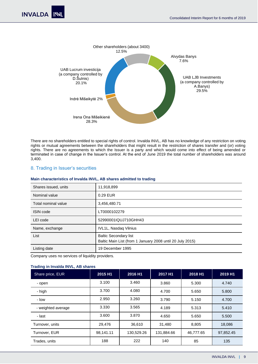

There are no shareholders entitled to special rights of control. Invalda INVL, AB has no knowledge of any restriction on voting rights or mutual agreements between the shareholders that might result in the restriction of shares transfer and (or) voting rights. There are no agreements to which the Issuer is a party and which would come into effect of being amended or terminated in case of change in the Issuer's control. At the end of June 2019 the total number of shareholders was around 3,400.

# <span id="page-8-0"></span>8. Trading in Issuer's securities

| Shares issued, units | 11,918,899                                                                                |
|----------------------|-------------------------------------------------------------------------------------------|
| Nominal value        | 0.29 EUR                                                                                  |
| Total nominal value  | 3,456,480.71                                                                              |
| <b>ISIN</b> code     | LT0000102279                                                                              |
| LEI code             | 52990001IQUJ710GHH43                                                                      |
| Name, exchange       | IVL1L, Nasdaq Vilnius                                                                     |
| List                 | <b>Baltic Secondary list</b><br>Baltic Main List (from 1 January 2008 until 20 July 2015) |
| Listing date         | 19 December 1995                                                                          |

#### **Main characteristics of Invalda INVL, AB shares admitted to trading**

Company uses no services of liquidity providers.

# **Trading in Invalda INVL, AB shares**

| Share price, EUR   | 2015 H1   | 2016 H1    | 2017 H1    | 2018 H1   | 2019 H1   |
|--------------------|-----------|------------|------------|-----------|-----------|
| - open             | 3.100     | 3.460      | 3.860      | 5.300     | 4.740     |
| - high             | 3.700     | 4.080      | 4.700      | 5.650     | 5.800     |
| - Iow              | 2.950     | 3.260      | 3.790      | 5.150     | 4.700     |
| - weighted average | 3.330     | 3.565      | 4.189      | 5.313     | 5.410     |
| - last             | 3.600     | 3.870      | 4.650      | 5.650     | 5.500     |
| Turnover, units    | 29,476    | 36,610     | 31,480     | 8,805     | 18,086    |
| Turnover, EUR      | 98,141.11 | 130,529.26 | 131,884.66 | 46,777.65 | 97,852.45 |
| Trades, units      | 188       | 222        | 140        | 85        | 135       |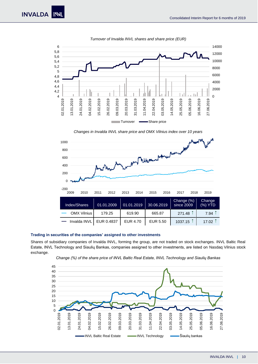

*Turnover of Invalda INVL shares and share price (EUR)*

*Changes in Invalda INVL share price and OMX Vilnius index over 10 years*



#### **Trading in securities of the companies' assigned to other investments**

Shares of subsidiary companies of Invalda INVL, forming the group, are not traded on stock exchanges. INVL Baltic Real Estate, INVL Technology and Siaulių Bankas, companies assigned to other investments, are listed on Nasdaq Vilnius stock exchange.

*Change (%) of the share price of INVL Baltic Real Estate, INVL Technology and Siaulių Bankas*

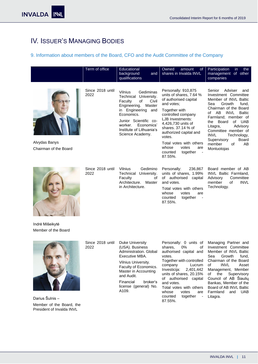# <span id="page-10-0"></span>IV. ISSUER'S MANAGING BODIES

# <span id="page-10-1"></span>9. Information about members of the Board, CFO and the Audit Committee of the Company

|                                        | Term of office           | Educational<br>background<br>and<br>qualifications                                                                                                                                                                                                   | Owned<br>amount<br><sub>of</sub><br>shares in Invalda INVL                                                                                                                                                                                                                                                                                         | Participation<br>in.<br>the<br>management of other<br>companies                                                                                                                                                                                                                                                                                           |
|----------------------------------------|--------------------------|------------------------------------------------------------------------------------------------------------------------------------------------------------------------------------------------------------------------------------------------------|----------------------------------------------------------------------------------------------------------------------------------------------------------------------------------------------------------------------------------------------------------------------------------------------------------------------------------------------------|-----------------------------------------------------------------------------------------------------------------------------------------------------------------------------------------------------------------------------------------------------------------------------------------------------------------------------------------------------------|
| Alvydas Banys<br>Chairman of the Board | Since 2018 until<br>2022 | Gediminas<br><b>Vilnius</b><br>University.<br>Technical<br>of<br>Civil<br>Faculty<br>Engineering.<br>Master<br>in Engineering<br>and<br>Economics.<br>Junior Scientific co-<br>Economics'<br>worker.<br>Institute of Lithuania's<br>Science Academy. | Personally: 910,875<br>units of shares, 7.64 %<br>of authorised capital<br>and votes:<br>Together with<br>controlled company<br>LJB Investments:<br>4,426,730 units of<br>shares, 37,14 % of<br>authorized capital and<br>votes.<br>Total votes with others<br>whose<br>votes<br>are<br>together<br>counted<br>$\overline{\phantom{a}}$<br>87.55%. | Adviser<br>Senior<br>and<br>Investment Committee<br>Member of INVL Baltic<br>Growth<br>Sea<br>fund.<br>Chairman of the Board<br>of AB<br>INVL<br><b>Baltic</b><br>Farmland; member of<br>Board<br>of UAB<br>the<br>Advisory<br>Litagra,<br>Committee member of<br><b>INVL</b><br>Technology,<br>Board<br>Supervisory<br>member<br>of<br>AB<br>Montuotojas |
|                                        | Since 2018 until<br>2022 | Vilnius<br>Gedimino<br>Technical<br>University.<br>Faculty<br>of<br>Master<br>Architecture.<br>in Architecture.                                                                                                                                      | Personally:<br>236,867<br>units of shares, 1.99%<br>of authorised capital<br>and votes.<br>Total votes with others<br>votes<br>whose<br>are<br>counted<br>together<br>$\overline{\phantom{a}}$<br>87.55%.                                                                                                                                          | Board member of AB<br><b>INVL Baltic Farmland.</b><br>Committee<br>Advisory<br>member<br><b>INVL</b><br>of<br>Technology.                                                                                                                                                                                                                                 |
| Indrė Mišeikytė<br>Member of the Board |                          |                                                                                                                                                                                                                                                      |                                                                                                                                                                                                                                                                                                                                                    |                                                                                                                                                                                                                                                                                                                                                           |



Darius Šulnis – Member of the Board, the President of Invalda INVL

| Administration, Global | Since 2018 until | <b>Duke University</b> |
|------------------------|------------------|------------------------|
| Executive MBA.         | 2022             | (USA). Business        |

Vilnius University. Faculty of Economics. Master in Accounting and Audit.

Financial broker's license (general) No. A109.

Personally: 0 units of shares, 0% of authorised capital and votes. Together with controlled company Lucrum Investicija: 2,401,442 units of shares, 20.15% of authorised capital and votes. Total votes with others whose votes are Farmland and UAB counted together - Litagra.87.55%.

Managing Partner and Investment Committee Member of INVL Baltic<br>Sea Growth fund, Growth fund, Chairman of the Board<br>of INVL Asset of INVL Asset Management, Member of the Supervisory Council of AB Šiaulių Bankas, Member of the Board of AB INVL Baltic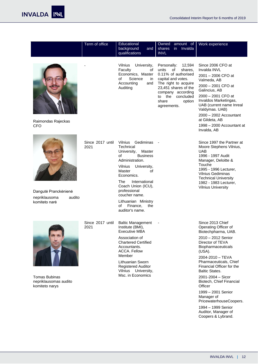|                                                                  | Term of office           | Educational<br>background<br>and<br>qualifications                                                                                                                                                                                                                                                               | Owned amount of<br>in Invalda<br>shares<br><b>INVL</b>                                                                                                                                                                     | Work experience                                                                                                                                                                                                                                                                                                                                                                                                                             |
|------------------------------------------------------------------|--------------------------|------------------------------------------------------------------------------------------------------------------------------------------------------------------------------------------------------------------------------------------------------------------------------------------------------------------|----------------------------------------------------------------------------------------------------------------------------------------------------------------------------------------------------------------------------|---------------------------------------------------------------------------------------------------------------------------------------------------------------------------------------------------------------------------------------------------------------------------------------------------------------------------------------------------------------------------------------------------------------------------------------------|
| Raimondas Rajeckas<br><b>CFO</b>                                 |                          | Vilnius<br>University,<br>Faculty<br>οf<br>Economics, Master<br>Science<br>of<br>in<br>Accounting<br>and<br>Auditing                                                                                                                                                                                             | Personally:<br>12,594<br>units<br>of<br>shares.<br>0.11% of authorised<br>capital and votes.<br>The right to acquire<br>23,451 shares of the<br>company according<br>to the<br>concluded<br>share<br>option<br>agreements. | Since 2006 CFO at<br>Invalda INVL<br>2001 - 2006 CFO at<br>Valmeda, AB<br>2000 - 2001 CFO at<br>Galincius, AB<br>2000 - 2001 CFO at<br>Invaldos Marketingas,<br>UAB (current name Inreal<br>Valdymas. UAB)<br>2000 - 2002 Accountant<br>at Gildeta, AB<br>1998 - 2000 Accountant at<br>Invalda, AB                                                                                                                                          |
| Dangutė Pranckėnienė<br>nepriklausoma<br>audito<br>komiteto narė | Since 2017 until<br>2021 | Gediminas<br>Vilnius<br>Technical<br>University,<br>Master<br>of<br><b>Business</b><br>Administration.<br>Vilnius<br>University,<br>Master<br>οf<br>Economics.<br>International<br>The<br>Coach Union (ICU),<br>professional<br>coucher name.<br>Lithuanian Ministry<br>of<br>Finance,<br>the<br>auditor's name. |                                                                                                                                                                                                                            | Since 1997 the Partner at<br>Moore Stephens Vilnius,<br><b>UAB</b><br>1996 - 1997 Audit<br>Manager, Deloitte &<br>Touche<br>1995 - 1996 Lecturer,<br><b>Vilnius Gediminas</b><br><b>Technical University</b><br>1982 - 1983 Lecturer,<br><b>Vilnius University</b>                                                                                                                                                                          |
| <b>Tomas Bubinas</b><br>nepriklausomas audito<br>komiteto narys  | Since 2017 until<br>2021 | <b>Baltic Management</b><br>Institute (BMI),<br><b>Executive MBA</b><br>Association of<br><b>Chartered Certified</b><br>Accountants.<br><b>ACCA. Fellow</b><br>Member<br>Lithuanian Sworn<br><b>Registered Auditor</b><br>University,<br>Vilnius<br>Msc. in Economics                                            |                                                                                                                                                                                                                            | Since 2013 Chief<br>Operating Officer of<br>Biotechpharma, UAB.<br>2010 - 2012 Senior<br>Director of TEVA<br>Biopharmaceuticals<br>(USA).<br>2004-2010 - TEVA<br>Pharmaceuticals, Chief<br>Financial Officer for the<br><b>Baltic States.</b><br>2001-2004 - Sicor<br>Biotech, Chief Financial<br>Officer<br>1999 - 2001 Senior<br>Manager of<br>PricewaterhouseCoopers.<br>1994 - 1999 Senior<br>Auditor, Manager of<br>Coopers & Lybrand. |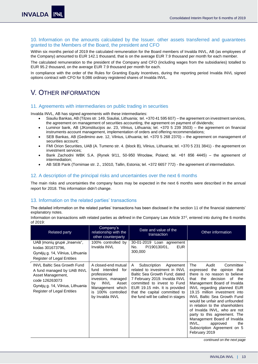# <span id="page-12-0"></span>10. Information on the amounts calculated by the Issuer. other assets transferred and guarantees granted to the Members of the Board, the president and CFO

Within six months period of 2019 the calculated remuneration for the Board members of Invalda INVL, AB (as employees of the Company) amounted to EUR 142.1 thousand, that is on the average EUR 7.9 thousand per month for each member.

The calculated remuneration to the president of the Company and CFO (including wages from the subsidiaries) totalled to EUR 95.2 thousand, on the average EUR 7.9 thousand per month for each.

In compliance with the order of the Rules for Granting Equity Incentives, during the reporting period Invalda INVL signed options contract with CFO for 9,086 ordinary registered shares of Invalda INVL.

# <span id="page-12-1"></span>V. OTHER INFORMATION

# <span id="page-12-2"></span>11. Agreements with intermediaries on public trading in securities

Invalda INVL, AB has signed agreements with these intermediaries:

- Siauliu Bankas, AB (Tilzes str. 149, Siauliai, Lithuania; tel. +370 41 595 607) the agreement on investment services, the agreement on management of securities accounting, the agreement on payment of dividends;
- Luminor bank, AB (JKonstitucijos av. 23, Vilnius, Lithuania; tel. +370 5 239 3503) the agreement on financial instruments account management, implementation of orders and offering recommendations;
- SEB Bankas, AB (Gedimino ave. 12, Vilnius, Lithuania; tel. +370 5 268 2370) the agreement on management of securities account;
- FMI Orion Securities, UAB (A. Tumeno str. 4. (block B), Vilnius, Lithuania; tel. +370 5 231 3841) the agreement on investment services;
- Bank Zachodni WBK S.A. (Rynek 9/11, 50-950 Wrocław, Poland; tel. +61 856 4445) the agreement of intermediation;
- AB SEB Pank (Tornimae str. 2., 15010, Tallin, Estonia; tel. +372 6657 772) the agreement of intermediation.

## <span id="page-12-3"></span>12. A description of the principal risks and uncertainties over the next 6 months

The main risks and uncertainties the company faces may be expected in the next 6 months were described in the annual report for 2018. This information didn't change.

# <span id="page-12-4"></span>13. Information on the related parties' transactions

The detailed information on the related parties' transactions has been disclosed in the section 11 of the financial statements' explanatory notes.

Information on transactions with related parties as defined in the Company Law Article  $37^2$ , entered into during the 6 months of 2019:

| Related party                                                                                                                                                             | Company's<br>relationship with the<br>other counterparty                                                                                                                 | Date and value of the<br>transaction                                                                                                                                                                                                                                 | Other information                                                                                                                                                                                                                                                                                                                                                                                                                                                                                                |
|---------------------------------------------------------------------------------------------------------------------------------------------------------------------------|--------------------------------------------------------------------------------------------------------------------------------------------------------------------------|----------------------------------------------------------------------------------------------------------------------------------------------------------------------------------------------------------------------------------------------------------------------|------------------------------------------------------------------------------------------------------------------------------------------------------------------------------------------------------------------------------------------------------------------------------------------------------------------------------------------------------------------------------------------------------------------------------------------------------------------------------------------------------------------|
| UAB Įmonių grupė "Inservis",<br>kodas 301673796,<br>Gynėjų g. 14, Vilnius, Lithuania<br><b>Register of Legal Entities</b>                                                 | 100% controlled by<br>Invalda INVL                                                                                                                                       | 30-01-2019 Loan agreement<br>P/190130/01.<br><b>EUR</b><br>No.<br>300,000                                                                                                                                                                                            |                                                                                                                                                                                                                                                                                                                                                                                                                                                                                                                  |
| <b>INVL Baltic Sea Growth Fund</b><br>A fund managed by UAB INVL<br>Asset Management,<br>code 126263073<br>Gynėjų g. 14, Vilnius, Lithuania<br>Register of Legal Entities | A closed-end mutual<br>fund intended<br>for<br>professional<br>investors, managed<br>INVL<br>Asset<br>bv<br>Management which<br>100% controlled<br>is<br>by Invalda INVL | Subscription Agreement<br>A<br>related to investment in INVL<br>Baltic Sea Growth Fund; dated<br>7 February 2019. Invalda INVL<br>committed to invest to Fund<br>EUR 19.15 mln. It is provided<br>that the capital committed to<br>the fund will be called in stages | The<br>Committee<br>Audit<br>expressed the opinion that<br>there is no reason to believe<br>the<br>decision<br>of the<br>that<br>Management Board of Invalda<br>INVL regarding planned EUR<br>19.15 million investment into<br><b>INVL Baltic Sea Growth Fund</b><br>would be unfair and unfounded<br>in relation to the shareholders<br>of Invalda INVL, who are not<br>party to this agreement. The<br>Management Board of Invalda<br>INVL.<br>approved<br>the<br>Subscription Agreement on 5<br>February 2019 |

*continued on the next page*